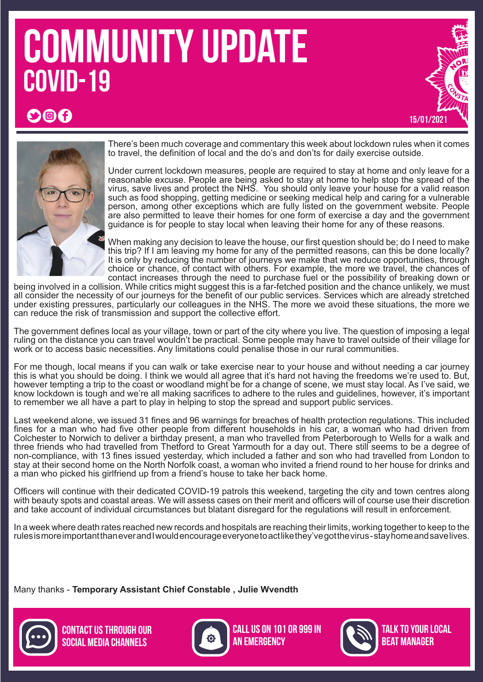# COMMUNITY UPDATE COVID-19





 $\bigcirc$  f

There's been much coverage and commentary this week about lockdown rules when it comes to travel, the definition of local and the do's and don'ts for daily exercise outside.

Under current lockdown measures, people are required to stay at home and only leave for a reasonable excuse. People are being asked to stay at home to help stop the spread of the virus, save lives and protect the NHS. You should only leave your house for a valid reason such as food shopping, getting medicine or seeking medical help and caring for a vulnerable person, among other exceptions which are fully listed on the government website. People are also permitted to leave their homes for one form of exercise a day and the government guidance is for people to stay local when leaving their home for any of these reasons.

When making any decision to leave the house, our first question should be; do I need to make this trip? If I am leaving my home for any of the permitted reasons, can this be done locally? It is only by reducing the number of journeys we make that we reduce opportunities, through choice or chance, of contact with others. For example, the more we travel, the chances of contact increases through the need to purchase fuel or the possibility of breaking down or

being involved in a collision. While critics might suggest this is a far-fetched position and the chance unlikely, we must all consider the necessity of our journeys for the benefit of our public services. Services which are already stretched under existing pressures, particularly our colleagues in the NHS. The more we avoid these situations, the more we can reduce the risk of transmission and support the collective effort.

The government defines local as your village, town or part of the city where you live. The question of imposing a legal ruling on the distance you can travel wouldn't be practical. Some people may have to travel outside of their village for work or to access basic necessities. Any limitations could penalise those in our rural communities.

For me though, local means if you can walk or take exercise near to your house and without needing a car journey this is what you should be doing. I think we would all agree that it's hard not having the freedoms we're used to. But, however tempting a trip to the coast or woodland might be for a change of scene, we must stay local. As I've said, we know lockdown is tough and we're all making sacrifices to adhere to the rules and guidelines, however, it's important to remember we all have a part to play in helping to stop the spread and support public services.

Last weekend alone, we issued 31 fines and 96 warnings for breaches of health protection regulations. This included fines for a man who had five other people from different households in his car, a woman who had driven from Colchester to Norwich to deliver a birthday present, a man who travelled from Peterborough to Wells for a walk and three friends who had travelled from Thetford to Great Yarmouth for a day out. There still seems to be a degree of non-compliance, with 13 fines issued yesterday, which included a father and son who had travelled from London to stay at their second home on the North Norfolk coast, a woman who invited a friend round to her house for drinks and a man who picked his girlfriend up from a friend's house to take her back home.

Officers will continue with their dedicated COVID-19 patrols this weekend, targeting the city and town centres along with beauty spots and coastal areas. We will assess cases on their merit and officers will of course use their discretion and take account of individual circumstances but blatant disregard for the regulations will result in enforcement.

In a week where death rates reached new records and hospitals are reaching their limits, working together to keep to the rules is more important than ever and I would encourage everyone to act like they've got the virus - stay home and save lives.

Many thanks - **Temporary Assistant Chief Constable , Julie Wvendth**





Call us on 101 or 999 in **AN EMERGENCY** 



talk to your local beat Manager